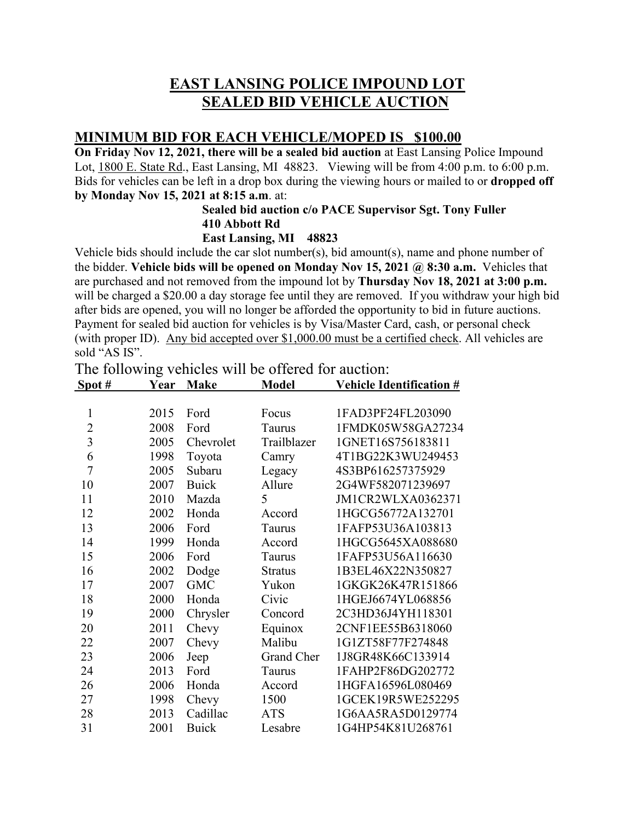# **EAST LANSING POLICE IMPOUND LOT SEALED BID VEHICLE AUCTION**

## **MINIMUM BID FOR EACH VEHICLE/MOPED IS \$100.00**

**On Friday Nov 12, 2021, there will be a sealed bid auction** at East Lansing Police Impound Lot, 1800 E. State Rd., East Lansing, MI 48823. Viewing will be from 4:00 p.m. to 6:00 p.m. Bids for vehicles can be left in a drop box during the viewing hours or mailed to or **dropped off by Monday Nov 15, 2021 at 8:15 a.m**. at:

### **Sealed bid auction c/o PACE Supervisor Sgt. Tony Fuller 410 Abbott Rd**

#### **East Lansing, MI 48823**

Vehicle bids should include the car slot number(s), bid amount(s), name and phone number of the bidder. **Vehicle bids will be opened on Monday Nov 15, 2021 @ 8:30 a.m.** Vehicles that are purchased and not removed from the impound lot by **Thursday Nov 18, 2021 at 3:00 p.m.** will be charged a \$20.00 a day storage fee until they are removed. If you withdraw your high bid after bids are opened, you will no longer be afforded the opportunity to bid in future auctions. Payment for sealed bid auction for vehicles is by Visa/Master Card, cash, or personal check (with proper ID). Any bid accepted over \$1,000.00 must be a certified check. All vehicles are sold "AS IS".

The following vehicles will be offered for auction:

| Spot#          | Year | <b>Make</b>  | <b>Model</b>   | <b>Vehicle Identification #</b> |
|----------------|------|--------------|----------------|---------------------------------|
|                |      |              |                |                                 |
| $\mathbf{1}$   | 2015 | Ford         | Focus          | 1FAD3PF24FL203090               |
| $\overline{2}$ | 2008 | Ford         | <b>Taurus</b>  | 1FMDK05W58GA27234               |
| 3              | 2005 | Chevrolet    | Trailblazer    | 1GNET16S756183811               |
| 6              | 1998 | Toyota       | Camry          | 4T1BG22K3WU249453               |
| 7              | 2005 | Subaru       | Legacy         | 4S3BP616257375929               |
| 10             | 2007 | <b>Buick</b> | Allure         | 2G4WF582071239697               |
| 11             | 2010 | Mazda        | 5              | JM1CR2WLXA0362371               |
| 12             | 2002 | Honda        | Accord         | 1HGCG56772A132701               |
| 13             | 2006 | Ford         | Taurus         | 1FAFP53U36A103813               |
| 14             | 1999 | Honda        | Accord         | 1HGCG5645XA088680               |
| 15             | 2006 | Ford         | Taurus         | 1FAFP53U56A116630               |
| 16             | 2002 | Dodge        | <b>Stratus</b> | 1B3EL46X22N350827               |
| 17             | 2007 | <b>GMC</b>   | Yukon          | 1GKGK26K47R151866               |
| 18             | 2000 | Honda        | Civic          | 1HGEJ6674YL068856               |
| 19             | 2000 | Chrysler     | Concord        | 2C3HD36J4YH118301               |
| 20             | 2011 | Chevy        | Equinox        | 2CNF1EE55B6318060               |
| 22             | 2007 | Chevy        | Malibu         | 1G1ZT58F77F274848               |
| 23             | 2006 | Jeep         | Grand Cher     | 1J8GR48K66C133914               |
| 24             | 2013 | Ford         | Taurus         | 1FAHP2F86DG202772               |
| 26             | 2006 | Honda        | Accord         | 1HGFA16596L080469               |
| 27             | 1998 | Chevy        | 1500           | 1GCEK19R5WE252295               |
| 28             | 2013 | Cadillac     | <b>ATS</b>     | 1G6AA5RA5D0129774               |
| 31             | 2001 | <b>Buick</b> | Lesabre        | 1G4HP54K81U268761               |